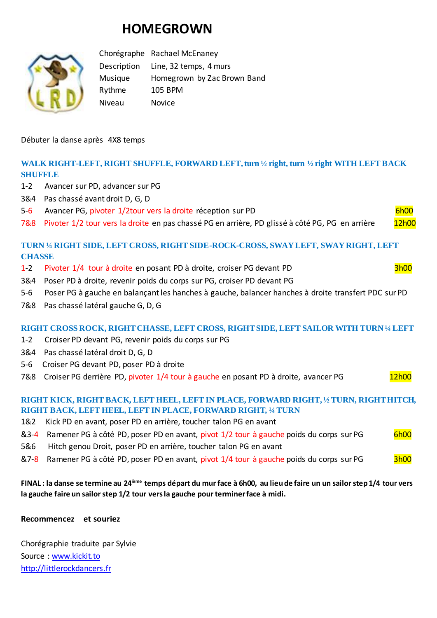# **HOMEGROWN**



Chorégraphe Rachael McEnaney Description Line, 32 temps, 4 murs Musique Homegrown by Zac Brown Band Rythme 105 BPM Niveau Novice

Débuter la danse après 4X8 temps

## **WALK RIGHT-LEFT, RIGHT SHUFFLE, FORWARD LEFT, turn ½ right, turn ½ right WITH LEFT BACK SHUFFLE**

- 1-2 Avancer sur PD, advancer sur PG
- 3&4 Pas chassé avant droit D, G, D
- 5-6 Avancer PG, pivoter 1/2tour vers la droite réception sur PD 6h00
- 7&8 Pivoter 1/2 tour vers la droite en pas chassé PG en arrière, PD glissé à côté PG, PG en arrière 12h00

## **TURN ¼ RIGHT SIDE, LEFT CROSS, RIGHT SIDE-ROCK-CROSS, SWAY LEFT, SWAY RIGHT, LEFT CHASSE**

- 1-2 Pivoter 1/4 tour à droite en posant PD à droite, croiser PG devant PD 3h00
- 3&4 Poser PD à droite, revenir poids du corps sur PG, croiser PD devant PG
- 5-6 Poser PG à gauche en balançant les hanches à gauche, balancer hanches à droite transfert PDC sur PD
- 7&8 Pas chassé latéral gauche G, D, G

### **RIGHT CROSS ROCK, RIGHT CHASSE, LEFT CROSS, RIGHT SIDE, LEFT SAILOR WITH TURN ¼ LEFT**

- 1-2 Croiser PD devant PG, revenir poids du corps sur PG
- 3&4 Pas chassé latéral droit D, G, D
- 5-6 Croiser PG devant PD, poser PD à droite
- 7&8 Croiser PG derrière PD, pivoter 1/4 tour à gauche en posant PD à droite, avancer PG 12h00

### **RIGHT KICK, RIGHT BACK, LEFT HEEL, LEFT IN PLACE, FORWARD RIGHT, ½ TURN, RIGHT HITCH, RIGHT BACK, LEFT HEEL, LEFT IN PLACE, FORWARD RIGHT, ¼ TURN**

- 1&2 Kick PD en avant, poser PD en arrière, toucher talon PG en avant
- &3-4 Ramener PG à côté PD, poser PD en avant, pivot 1/2 tour à gauche poids du corps sur PG 6h00
- 5&6 Hitch genou Droit, poser PD en arrière, toucher talon PG en avant
- &7-8 Ramener PG à côté PD, poser PD en avant, pivot 1/4 tour à gauche poids du corps sur PG 3h00

## **FINAL : la danse se termine au 24ième temps départ du mur face à 6h00, au lieu de faire un un sailor step 1/4 tour vers la gauche faire un sailor step 1/2 tour vers la gauche pour terminer face à midi.**

#### **Recommencez et souriez**

Chorégraphie traduite par Sylvie Source : [www.kickit.to](http://www.kickit.to/) [http://littlerockdancers.fr](http://littlerockdancers.fr/)